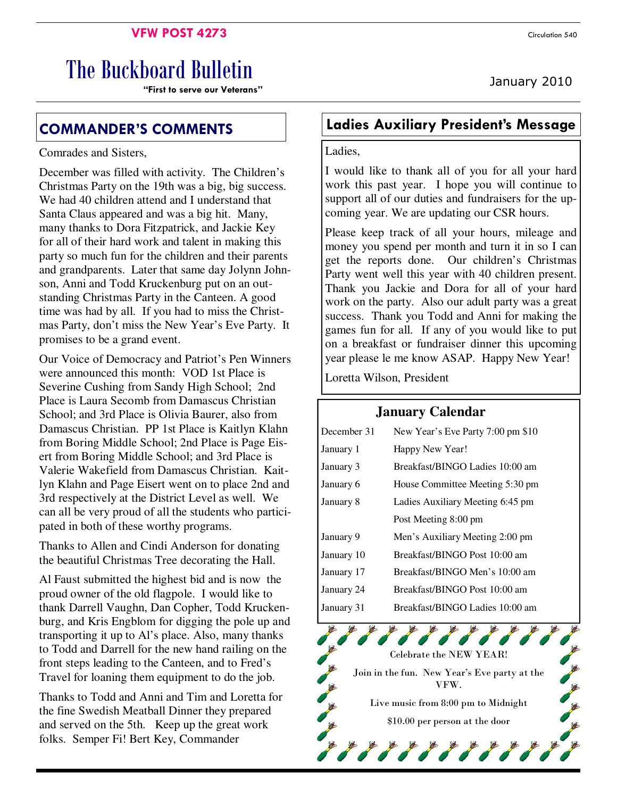## **VFW POST 4273** Circulation 540

# The Buckboard Bulletin

**"First to serve our Veterans"** 

## Comrades and Sisters,

December was filled with activity. The Children's Christmas Party on the 19th was a big, big success. We had 40 children attend and I understand that Santa Claus appeared and was a big hit. Many, many thanks to Dora Fitzpatrick, and Jackie Key for all of their hard work and talent in making this party so much fun for the children and their parents and grandparents. Later that same day Jolynn Johnson, Anni and Todd Kruckenburg put on an outstanding Christmas Party in the Canteen. A good time was had by all. If you had to miss the Christmas Party, don't miss the New Year's Eve Party. It promises to be a grand event.

Our Voice of Democracy and Patriot's Pen Winners were announced this month: VOD 1st Place is Severine Cushing from Sandy High School; 2nd Place is Laura Secomb from Damascus Christian School; and 3rd Place is Olivia Baurer, also from Damascus Christian. PP 1st Place is Kaitlyn Klahn from Boring Middle School; 2nd Place is Page Eisert from Boring Middle School; and 3rd Place is Valerie Wakefield from Damascus Christian. Kaitlyn Klahn and Page Eisert went on to place 2nd and 3rd respectively at the District Level as well. We can all be very proud of all the students who participated in both of these worthy programs.

Thanks to Allen and Cindi Anderson for donating the beautiful Christmas Tree decorating the Hall.

Al Faust submitted the highest bid and is now the proud owner of the old flagpole. I would like to thank Darrell Vaughn, Dan Copher, Todd Kruckenburg, and Kris Engblom for digging the pole up and transporting it up to Al's place. Also, many thanks to Todd and Darrell for the new hand railing on the front steps leading to the Canteen, and to Fred's Travel for loaning them equipment to do the job.

Thanks to Todd and Anni and Tim and Loretta for the fine Swedish Meatball Dinner they prepared and served on the 5th. Keep up the great work folks. Semper Fi! Bert Key, Commander

## **COMMANDER'S COMMENTS Ladies Auxiliary President's Message**

## Ladies,

I would like to thank all of you for all your hard work this past year. I hope you will continue to support all of our duties and fundraisers for the upcoming year. We are updating our CSR hours.

Please keep track of all your hours, mileage and money you spend per month and turn it in so I can get the reports done. Our children's Christmas Party went well this year with 40 children present. Thank you Jackie and Dora for all of your hard work on the party. Also our adult party was a great success. Thank you Todd and Anni for making the games fun for all. If any of you would like to put on a breakfast or fundraiser dinner this upcoming year please le me know ASAP. Happy New Year!

Loretta Wilson, President

## **January Calendar**

| December 31 | New Year's Eve Party 7:00 pm \$10 |  |  |
|-------------|-----------------------------------|--|--|
| January 1   | Happy New Year!                   |  |  |
| January 3   | Breakfast/BINGO Ladies 10:00 am   |  |  |
| January 6   | House Committee Meeting 5:30 pm   |  |  |
| January 8   | Ladies Auxiliary Meeting 6:45 pm  |  |  |
|             | Post Meeting 8:00 pm              |  |  |
| January 9   | Men's Auxiliary Meeting 2:00 pm   |  |  |
| January 10  | Breakfast/BINGO Post 10:00 am     |  |  |
| January 17  | Breakfast/BINGO Men's 10:00 am    |  |  |
| January 24  | Breakfast/BINGO Post 10:00 am     |  |  |
| January 31  | Breakfast/BINGO Ladies 10:00 am   |  |  |

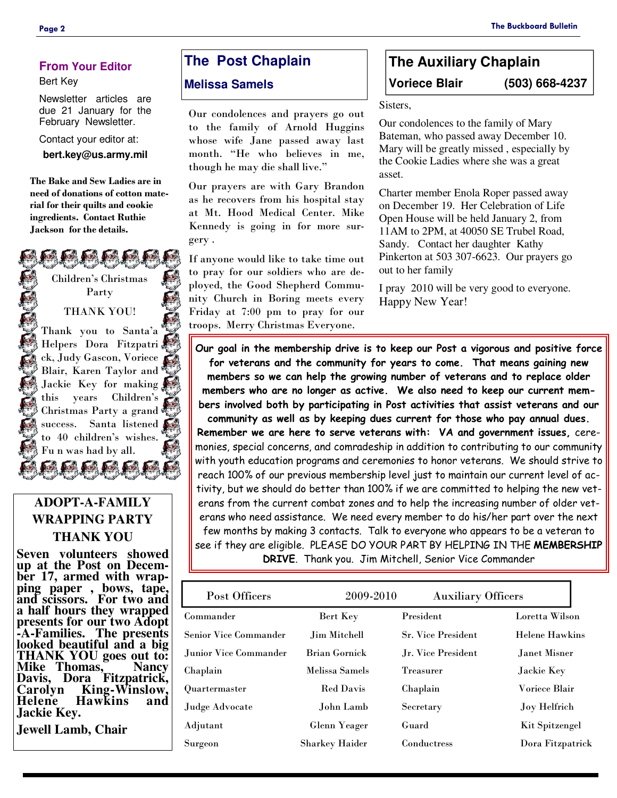## **From Your Editor**

#### Bert Key

Newsletter articles are due 21 January for the February Newsletter.

Contact your editor at:

**bert.key@us.army.mil** 

**The Bake and Sew Ladies are in need of donations of cotton material for their quilts and cookie ingredients. Contact Ruthie Jackson for the details.** 

> Children's Christmas Party

#### THANK YOU!

Thank you to Santa'a DEDEL Helpers Dora Fitzpatri ck, Judy Gascon, Voriece Blair, Karen Taylor and Jackie Key for making this years Children's Christmas Party a grand success. Santa listened to 40 children's wishes. Fu n was had by all.

## **ADOPT-A-FAMILY WRAPPING PARTY THANK YOU**

**Seven volunteers showed up at the Post on December 17, armed with wrapping paper , bows, tape, and scissors. For two and a half hours they wrapped presents for our two Adopt -A-Families. The presents looked beautiful and a big THANK YOU goes out to: Mike Thomas, Davis, Dora Fitzpatrick, Carolyn King-Winslow, Hawkins Jackie Key.** 

**Jewell Lamb, Chair** 

## **The Post Chaplain**

## **Melissa Samels**

Our condolences and prayers go out to the family of Arnold Huggins whose wife Jane passed away last month. "He who believes in me, though he may die shall live."

Our prayers are with Gary Brandon as he recovers from his hospital stay at Mt. Hood Medical Center. Mike Kennedy is going in for more surgery .

If anyone would like to take time out to pray for our soldiers who are deployed, the Good Shepherd Community Church in Boring meets every Friday at 7:00 pm to pray for our troops. Merry Christmas Everyone.

## **The Auxiliary Chaplain Voriece Blair (503) 668-4237**

Sisters,

Our condolences to the family of Mary Bateman, who passed away December 10. Mary will be greatly missed , especially by the Cookie Ladies where she was a great asset.

Charter member Enola Roper passed away on December 19. Her Celebration of Life Open House will be held January 2, from 11AM to 2PM, at 40050 SE Trubel Road, Sandy. Contact her daughter Kathy Pinkerton at 503 307-6623. Our prayers go out to her family

I pray 2010 will be very good to everyone. Happy New Year!

**Our goal in the membership drive is to keep our Post a vigorous and positive force for veterans and the community for years to come. That means gaining new members so we can help the growing number of veterans and to replace older members who are no longer as active. We also need to keep our current members involved both by participating in Post activities that assist veterans and our community as well as by keeping dues current for those who pay annual dues. Remember we are here to serve veterans with: VA and government issues,** ceremonies, special concerns, and comradeship in addition to contributing to our community with youth education programs and ceremonies to honor veterans. We should strive to reach 100% of our previous membership level just to maintain our current level of activity, but we should do better than 100% if we are committed to helping the new veterans from the current combat zones and to help the increasing number of older veterans who need assistance. We need every member to do his/her part over the next few months by making 3 contacts. Talk to everyone who appears to be a veteran to see if they are eligible. PLEASE DO YOUR PART BY HELPING IN THE **MEMBERSHIP** 

**DRIVE**. Thank you. Jim Mitchell, Senior Vice Commander

| Post Officers                | 2009-2010             | <b>Auxiliary Officers</b> |                       |
|------------------------------|-----------------------|---------------------------|-----------------------|
| Commander                    | Bert Key              | President                 | Loretta Wilson        |
| <b>Senior Vice Commander</b> | Jim Mitchell          | <b>Sr. Vice President</b> | <b>Helene Hawkins</b> |
| Junior Vice Commander        | Brian Gornick         | Jr. Vice President        | Janet Misner          |
| Chaplain                     | Melissa Samels        | <b>Treasurer</b>          | Jackie Key            |
| <b>Ouartermaster</b>         | <b>Red Davis</b>      | Chaplain                  | Voriece Blair         |
| Judge Advocate               | John Lamb             | Secretary                 | <b>Joy Helfrich</b>   |
| Adjutant                     | Glenn Yeager          | Guard                     | Kit Spitzengel        |
| Surgeon                      | <b>Sharkey Haider</b> | Conductress               | Dora Fitzpatrick      |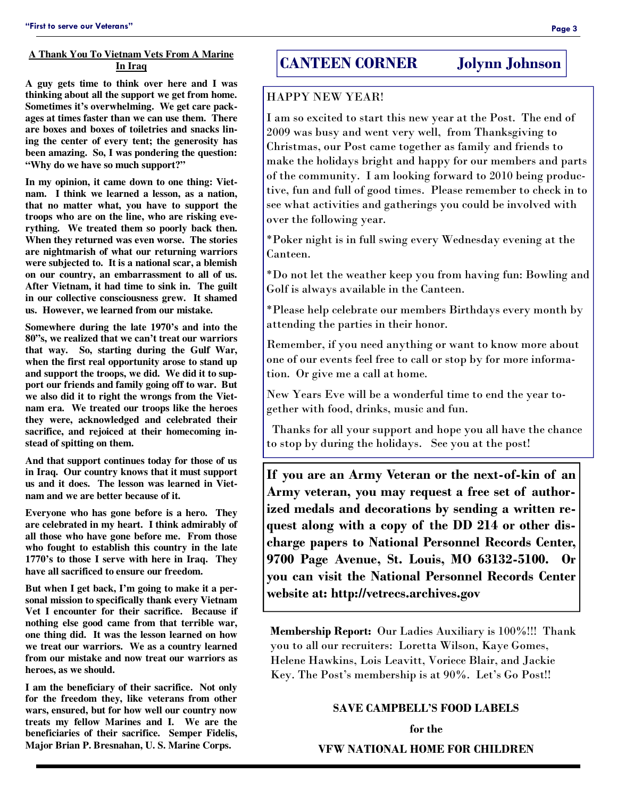## **A Thank You To Vietnam Vets From A Marine In Iraq**

**A guy gets time to think over here and I was thinking about all the support we get from home. Sometimes it's overwhelming. We get care packages at times faster than we can use them. There are boxes and boxes of toiletries and snacks lining the center of every tent; the generosity has been amazing. So, I was pondering the question: "Why do we have so much support?"** 

**In my opinion, it came down to one thing: Vietnam. I think we learned a lesson, as a nation, that no matter what, you have to support the troops who are on the line, who are risking everything. We treated them so poorly back then. When they returned was even worse. The stories are nightmarish of what our returning warriors were subjected to. It is a national scar, a blemish on our country, an embarrassment to all of us. After Vietnam, it had time to sink in. The guilt in our collective consciousness grew. It shamed us. However, we learned from our mistake.** 

**Somewhere during the late 1970's and into the 80"s, we realized that we can't treat our warriors that way. So, starting during the Gulf War, when the first real opportunity arose to stand up and support the troops, we did. We did it to support our friends and family going off to war. But we also did it to right the wrongs from the Vietnam era. We treated our troops like the heroes they were, acknowledged and celebrated their sacrifice, and rejoiced at their homecoming instead of spitting on them.** 

**And that support continues today for those of us in Iraq. Our country knows that it must support us and it does. The lesson was learned in Vietnam and we are better because of it.** 

**Everyone who has gone before is a hero. They are celebrated in my heart. I think admirably of all those who have gone before me. From those who fought to establish this country in the late 1770's to those I serve with here in Iraq. They have all sacrificed to ensure our freedom.** 

**But when I get back, I'm going to make it a personal mission to specifically thank every Vietnam Vet I encounter for their sacrifice. Because if nothing else good came from that terrible war, one thing did. It was the lesson learned on how we treat our warriors. We as a country learned from our mistake and now treat our warriors as heroes, as we should.** 

**I am the beneficiary of their sacrifice. Not only for the freedom they, like veterans from other wars, ensured, but for how well our country now treats my fellow Marines and I. We are the beneficiaries of their sacrifice. Semper Fidelis, Major Brian P. Bresnahan, U. S. Marine Corps.** 

## **CANTEEN CORNER Jolynn Johnson**

## HAPPY NEW YEAR!

I am so excited to start this new year at the Post. The end of 2009 was busy and went very well, from Thanksgiving to Christmas, our Post came together as family and friends to make the holidays bright and happy for our members and parts of the community. I am looking forward to 2010 being productive, fun and full of good times. Please remember to check in to see what activities and gatherings you could be involved with over the following year.

\*Poker night is in full swing every Wednesday evening at the Canteen.

\*Do not let the weather keep you from having fun: Bowling and Golf is always available in the Canteen.

\*Please help celebrate our members Birthdays every month by attending the parties in their honor.

Remember, if you need anything or want to know more about one of our events feel free to call or stop by for more information. Or give me a call at home.

New Years Eve will be a wonderful time to end the year together with food, drinks, music and fun.

 Thanks for all your support and hope you all have the chance to stop by during the holidays. See you at the post!

**If you are an Army Veteran or the next-of-kin of an Army veteran, you may request a free set of authorized medals and decorations by sending a written request along with a copy of the DD 214 or other discharge papers to National Personnel Records Center, 9700 Page Avenue, St. Louis, MO 63132-5100. Or you can visit the National Personnel Records Center website at: http://vetrecs.archives.gov** 

**Membership Report:** Our Ladies Auxiliary is 100%!!! Thank you to all our recruiters: Loretta Wilson, Kaye Gomes, Helene Hawkins, Lois Leavitt, Voriece Blair, and Jackie Key. The Post's membership is at 90%. Let's Go Post!!

#### **SAVE CAMPBELL'S FOOD LABELS**

**for the VFW NATIONAL HOME FOR CHILDREN**